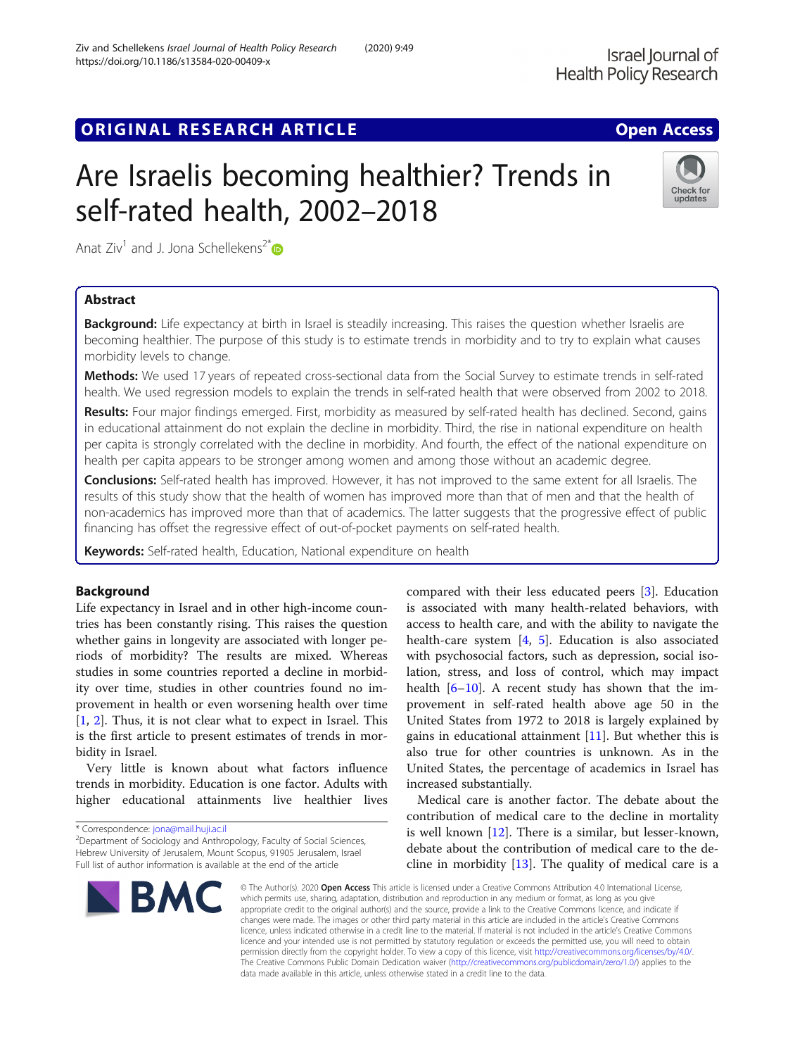## ORIGINAL RESEARCH ARTICLE **External in the Community Community** Open Access

# Are Israelis becoming healthier? Trends in self-rated health, 2002–2018

Anat Ziv<sup>1</sup> and J. Jona Schellekens<sup>2[\\*](http://orcid.org/0000-0001-7950-1614)</sup>

### Abstract

Background: Life expectancy at birth in Israel is steadily increasing. This raises the question whether Israelis are becoming healthier. The purpose of this study is to estimate trends in morbidity and to try to explain what causes morbidity levels to change.

Methods: We used 17 years of repeated cross-sectional data from the Social Survey to estimate trends in self-rated health. We used regression models to explain the trends in self-rated health that were observed from 2002 to 2018.

Results: Four major findings emerged. First, morbidity as measured by self-rated health has declined. Second, gains in educational attainment do not explain the decline in morbidity. Third, the rise in national expenditure on health per capita is strongly correlated with the decline in morbidity. And fourth, the effect of the national expenditure on health per capita appears to be stronger among women and among those without an academic degree.

Conclusions: Self-rated health has improved. However, it has not improved to the same extent for all Israelis. The results of this study show that the health of women has improved more than that of men and that the health of non-academics has improved more than that of academics. The latter suggests that the progressive effect of public financing has offset the regressive effect of out-of-pocket payments on self-rated health.

Keywords: Self-rated health, Education, National expenditure on health

#### Background

Life expectancy in Israel and in other high-income countries has been constantly rising. This raises the question whether gains in longevity are associated with longer periods of morbidity? The results are mixed. Whereas studies in some countries reported a decline in morbidity over time, studies in other countries found no improvement in health or even worsening health over time [[1,](#page-6-0) [2](#page-6-0)]. Thus, it is not clear what to expect in Israel. This is the first article to present estimates of trends in morbidity in Israel.

Very little is known about what factors influence trends in morbidity. Education is one factor. Adults with higher educational attainments live healthier lives

\* Correspondence: [jona@mail.huji.ac.il](mailto:jona@mail.huji.ac.il) <sup>2</sup>

<sup>2</sup>Department of Sociology and Anthropology, Faculty of Social Sciences, Hebrew University of Jerusalem, Mount Scopus, 91905 Jerusalem, Israel Full list of author information is available at the end of the article

compared with their less educated peers [\[3\]](#page-6-0). Education is associated with many health-related behaviors, with access to health care, and with the ability to navigate the health-care system [\[4](#page-6-0), [5](#page-6-0)]. Education is also associated with psychosocial factors, such as depression, social isolation, stress, and loss of control, which may impact health  $[6–10]$  $[6–10]$  $[6–10]$  $[6–10]$  $[6–10]$ . A recent study has shown that the im-

provement in self-rated health above age 50 in the United States from 1972 to 2018 is largely explained by gains in educational attainment  $[11]$  $[11]$ . But whether this is also true for other countries is unknown. As in the United States, the percentage of academics in Israel has increased substantially.

Medical care is another factor. The debate about the contribution of medical care to the decline in mortality is well known [[12](#page-7-0)]. There is a similar, but lesser-known, debate about the contribution of medical care to the decline in morbidity [\[13](#page-7-0)]. The quality of medical care is a

© The Author(s), 2020 **Open Access** This article is licensed under a Creative Commons Attribution 4.0 International License, which permits use, sharing, adaptation, distribution and reproduction in any medium or format, as long as you give appropriate credit to the original author(s) and the source, provide a link to the Creative Commons licence, and indicate if changes were made. The images or other third party material in this article are included in the article's Creative Commons licence, unless indicated otherwise in a credit line to the material. If material is not included in the article's Creative Commons licence and your intended use is not permitted by statutory regulation or exceeds the permitted use, you will need to obtain permission directly from the copyright holder. To view a copy of this licence, visit [http://creativecommons.org/licenses/by/4.0/.](http://creativecommons.org/licenses/by/4.0/) The Creative Commons Public Domain Dedication waiver [\(http://creativecommons.org/publicdomain/zero/1.0/](http://creativecommons.org/publicdomain/zero/1.0/)) applies to the data made available in this article, unless otherwise stated in a credit line to the data.

Ziv and Schellekens Israel Journal of Health Policy Research (2020) 9:49 https://doi.org/10.1186/s13584-020-00409-x



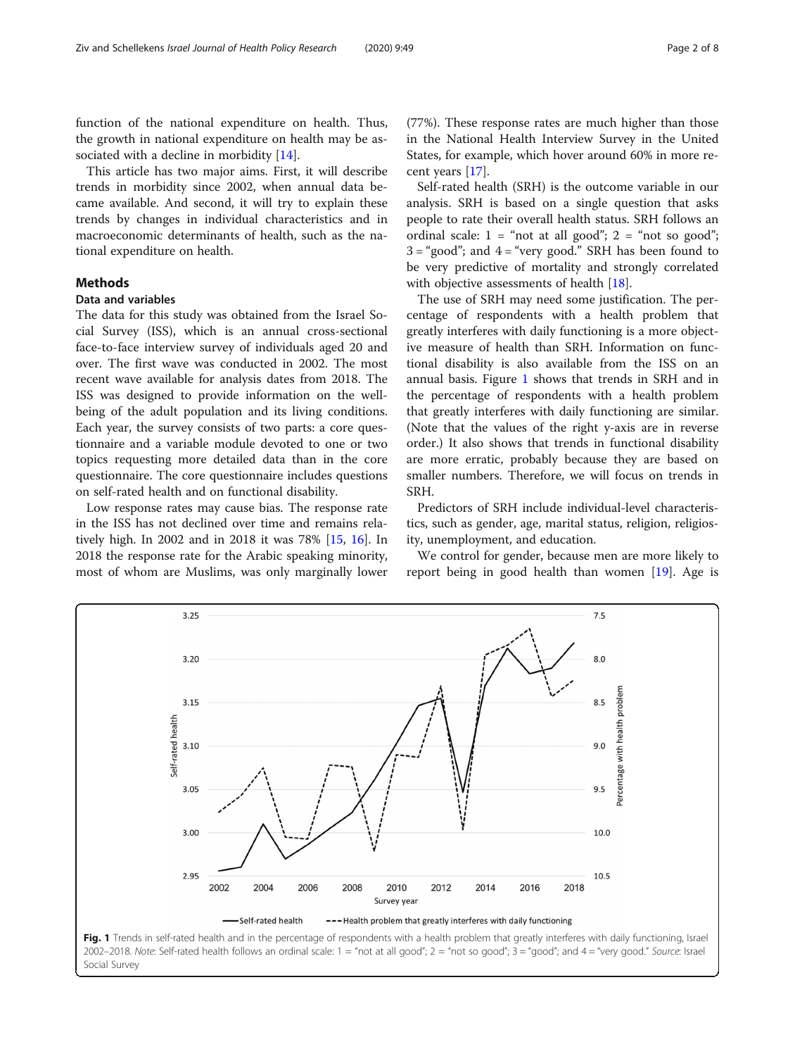<span id="page-1-0"></span>function of the national expenditure on health. Thus, the growth in national expenditure on health may be as-sociated with a decline in morbidity [[14\]](#page-7-0).

This article has two major aims. First, it will describe trends in morbidity since 2002, when annual data became available. And second, it will try to explain these trends by changes in individual characteristics and in macroeconomic determinants of health, such as the national expenditure on health.

#### **Methods**

#### Data and variables

The data for this study was obtained from the Israel Social Survey (ISS), which is an annual cross-sectional face-to-face interview survey of individuals aged 20 and over. The first wave was conducted in 2002. The most recent wave available for analysis dates from 2018. The ISS was designed to provide information on the wellbeing of the adult population and its living conditions. Each year, the survey consists of two parts: a core questionnaire and a variable module devoted to one or two topics requesting more detailed data than in the core questionnaire. The core questionnaire includes questions on self-rated health and on functional disability.

Low response rates may cause bias. The response rate in the ISS has not declined over time and remains relatively high. In 2002 and in 2018 it was 78% [\[15](#page-7-0), [16\]](#page-7-0). In 2018 the response rate for the Arabic speaking minority, most of whom are Muslims, was only marginally lower

(77%). These response rates are much higher than those in the National Health Interview Survey in the United States, for example, which hover around 60% in more recent years [[17\]](#page-7-0).

Self-rated health (SRH) is the outcome variable in our analysis. SRH is based on a single question that asks people to rate their overall health status. SRH follows an ordinal scale:  $1 = \text{``not at all good''}; 2 = \text{``not so good''};$  $3 =$  "good"; and  $4 =$  "very good." SRH has been found to be very predictive of mortality and strongly correlated with objective assessments of health [[18](#page-7-0)].

The use of SRH may need some justification. The percentage of respondents with a health problem that greatly interferes with daily functioning is a more objective measure of health than SRH. Information on functional disability is also available from the ISS on an annual basis. Figure 1 shows that trends in SRH and in the percentage of respondents with a health problem that greatly interferes with daily functioning are similar. (Note that the values of the right y-axis are in reverse order.) It also shows that trends in functional disability are more erratic, probably because they are based on smaller numbers. Therefore, we will focus on trends in SRH.

Predictors of SRH include individual-level characteristics, such as gender, age, marital status, religion, religiosity, unemployment, and education.

We control for gender, because men are more likely to report being in good health than women [\[19](#page-7-0)]. Age is

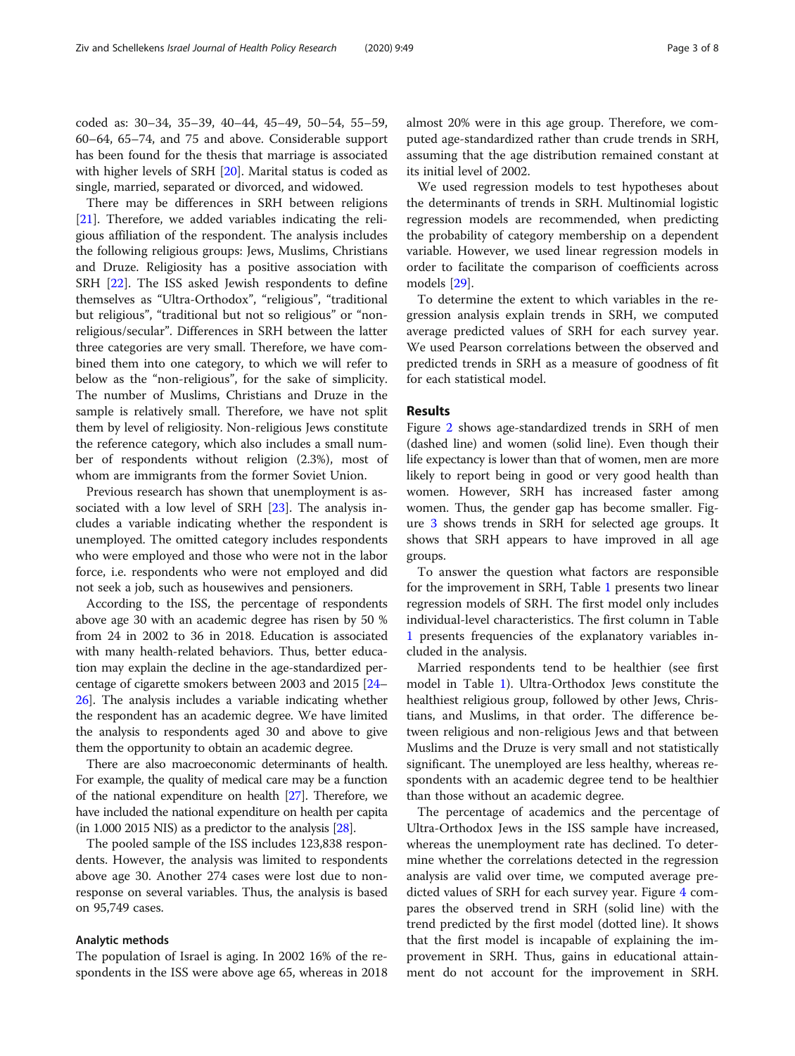coded as: 30–34, 35–39, 40–44, 45–49, 50–54, 55–59, 60–64, 65–74, and 75 and above. Considerable support has been found for the thesis that marriage is associated with higher levels of SRH [[20\]](#page-7-0). Marital status is coded as single, married, separated or divorced, and widowed.

There may be differences in SRH between religions [[21\]](#page-7-0). Therefore, we added variables indicating the religious affiliation of the respondent. The analysis includes the following religious groups: Jews, Muslims, Christians and Druze. Religiosity has a positive association with SRH [[22\]](#page-7-0). The ISS asked Jewish respondents to define themselves as "Ultra-Orthodox", "religious", "traditional but religious", "traditional but not so religious" or "nonreligious/secular". Differences in SRH between the latter three categories are very small. Therefore, we have combined them into one category, to which we will refer to below as the "non-religious", for the sake of simplicity. The number of Muslims, Christians and Druze in the sample is relatively small. Therefore, we have not split them by level of religiosity. Non-religious Jews constitute the reference category, which also includes a small number of respondents without religion (2.3%), most of whom are immigrants from the former Soviet Union.

Previous research has shown that unemployment is associated with a low level of SRH [[23\]](#page-7-0). The analysis includes a variable indicating whether the respondent is unemployed. The omitted category includes respondents who were employed and those who were not in the labor force, i.e. respondents who were not employed and did not seek a job, such as housewives and pensioners.

According to the ISS, the percentage of respondents above age 30 with an academic degree has risen by 50 % from 24 in 2002 to 36 in 2018. Education is associated with many health-related behaviors. Thus, better education may explain the decline in the age-standardized percentage of cigarette smokers between 2003 and 2015 [\[24](#page-7-0)– [26](#page-7-0)]. The analysis includes a variable indicating whether the respondent has an academic degree. We have limited the analysis to respondents aged 30 and above to give them the opportunity to obtain an academic degree.

There are also macroeconomic determinants of health. For example, the quality of medical care may be a function of the national expenditure on health [\[27\]](#page-7-0). Therefore, we have included the national expenditure on health per capita (in  $1.000$  2015 NIS) as a predictor to the analysis  $[28]$ .

The pooled sample of the ISS includes 123,838 respondents. However, the analysis was limited to respondents above age 30. Another 274 cases were lost due to nonresponse on several variables. Thus, the analysis is based on 95,749 cases.

#### Analytic methods

The population of Israel is aging. In 2002 16% of the respondents in the ISS were above age 65, whereas in 2018 almost 20% were in this age group. Therefore, we computed age-standardized rather than crude trends in SRH, assuming that the age distribution remained constant at its initial level of 2002.

We used regression models to test hypotheses about the determinants of trends in SRH. Multinomial logistic regression models are recommended, when predicting the probability of category membership on a dependent variable. However, we used linear regression models in order to facilitate the comparison of coefficients across models [\[29\]](#page-7-0).

To determine the extent to which variables in the regression analysis explain trends in SRH, we computed average predicted values of SRH for each survey year. We used Pearson correlations between the observed and predicted trends in SRH as a measure of goodness of fit for each statistical model.

#### Results

Figure [2](#page-3-0) shows age-standardized trends in SRH of men (dashed line) and women (solid line). Even though their life expectancy is lower than that of women, men are more likely to report being in good or very good health than women. However, SRH has increased faster among women. Thus, the gender gap has become smaller. Figure [3](#page-4-0) shows trends in SRH for selected age groups. It shows that SRH appears to have improved in all age groups.

To answer the question what factors are responsible for the improvement in SRH, Table [1](#page-5-0) presents two linear regression models of SRH. The first model only includes individual-level characteristics. The first column in Table [1](#page-5-0) presents frequencies of the explanatory variables included in the analysis.

Married respondents tend to be healthier (see first model in Table [1](#page-5-0)). Ultra-Orthodox Jews constitute the healthiest religious group, followed by other Jews, Christians, and Muslims, in that order. The difference between religious and non-religious Jews and that between Muslims and the Druze is very small and not statistically significant. The unemployed are less healthy, whereas respondents with an academic degree tend to be healthier than those without an academic degree.

The percentage of academics and the percentage of Ultra-Orthodox Jews in the ISS sample have increased, whereas the unemployment rate has declined. To determine whether the correlations detected in the regression analysis are valid over time, we computed average pre-dicted values of SRH for each survey year. Figure [4](#page-6-0) compares the observed trend in SRH (solid line) with the trend predicted by the first model (dotted line). It shows that the first model is incapable of explaining the improvement in SRH. Thus, gains in educational attainment do not account for the improvement in SRH.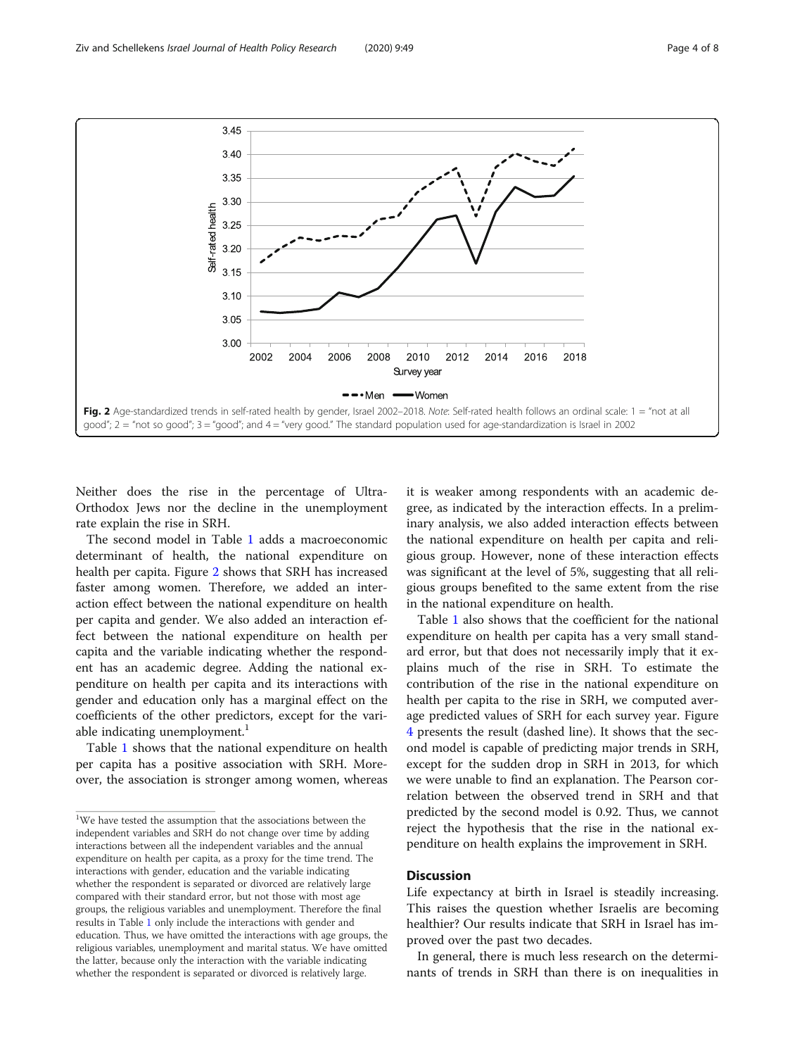<span id="page-3-0"></span>

Neither does the rise in the percentage of Ultra-Orthodox Jews nor the decline in the unemployment rate explain the rise in SRH.

The second model in Table [1](#page-5-0) adds a macroeconomic determinant of health, the national expenditure on health per capita. Figure 2 shows that SRH has increased faster among women. Therefore, we added an interaction effect between the national expenditure on health per capita and gender. We also added an interaction effect between the national expenditure on health per capita and the variable indicating whether the respondent has an academic degree. Adding the national expenditure on health per capita and its interactions with gender and education only has a marginal effect on the coefficients of the other predictors, except for the variable indicating unemployment. $<sup>1</sup>$ </sup>

Table [1](#page-5-0) shows that the national expenditure on health per capita has a positive association with SRH. Moreover, the association is stronger among women, whereas

it is weaker among respondents with an academic degree, as indicated by the interaction effects. In a preliminary analysis, we also added interaction effects between the national expenditure on health per capita and religious group. However, none of these interaction effects was significant at the level of 5%, suggesting that all religious groups benefited to the same extent from the rise in the national expenditure on health.

Table [1](#page-5-0) also shows that the coefficient for the national expenditure on health per capita has a very small standard error, but that does not necessarily imply that it explains much of the rise in SRH. To estimate the contribution of the rise in the national expenditure on health per capita to the rise in SRH, we computed average predicted values of SRH for each survey year. Figure [4](#page-6-0) presents the result (dashed line). It shows that the second model is capable of predicting major trends in SRH, except for the sudden drop in SRH in 2013, for which we were unable to find an explanation. The Pearson correlation between the observed trend in SRH and that predicted by the second model is 0.92. Thus, we cannot reject the hypothesis that the rise in the national expenditure on health explains the improvement in SRH.

#### **Discussion**

Life expectancy at birth in Israel is steadily increasing. This raises the question whether Israelis are becoming healthier? Our results indicate that SRH in Israel has improved over the past two decades.

In general, there is much less research on the determinants of trends in SRH than there is on inequalities in

<sup>&</sup>lt;sup>1</sup>We have tested the assumption that the associations between the independent variables and SRH do not change over time by adding interactions between all the independent variables and the annual expenditure on health per capita, as a proxy for the time trend. The interactions with gender, education and the variable indicating whether the respondent is separated or divorced are relatively large compared with their standard error, but not those with most age groups, the religious variables and unemployment. Therefore the final results in Table [1](#page-5-0) only include the interactions with gender and education. Thus, we have omitted the interactions with age groups, the religious variables, unemployment and marital status. We have omitted the latter, because only the interaction with the variable indicating whether the respondent is separated or divorced is relatively large.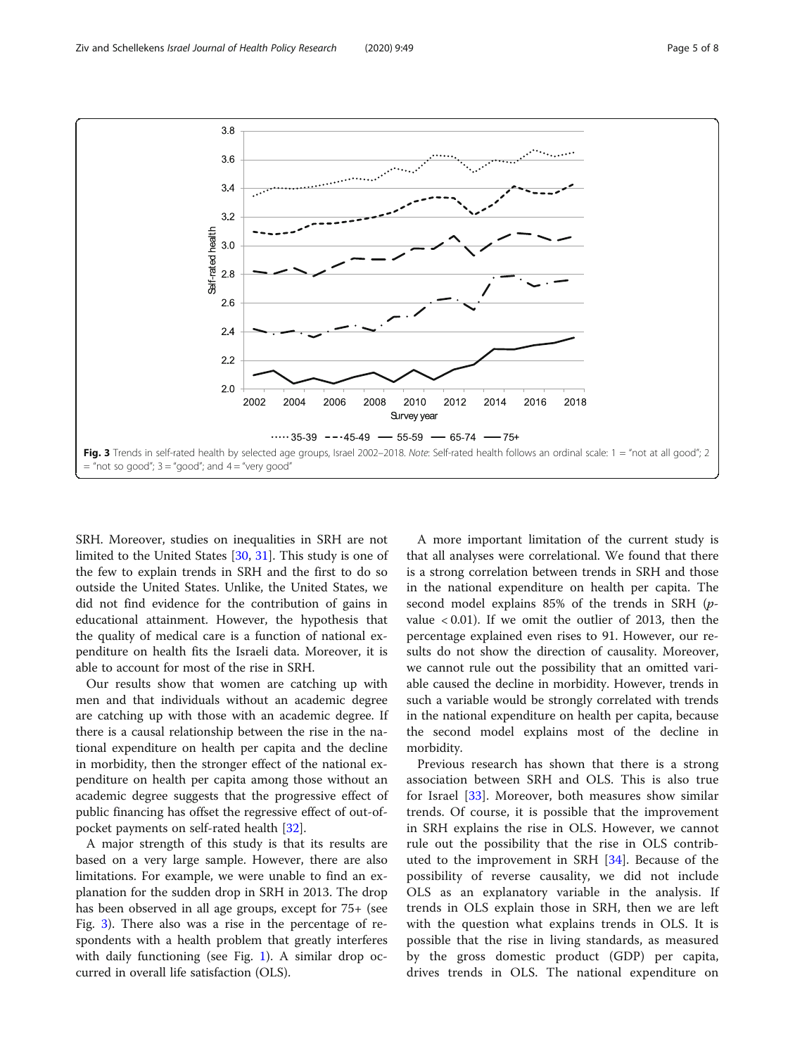<span id="page-4-0"></span>

SRH. Moreover, studies on inequalities in SRH are not limited to the United States [\[30](#page-7-0), [31](#page-7-0)]. This study is one of the few to explain trends in SRH and the first to do so outside the United States. Unlike, the United States, we did not find evidence for the contribution of gains in educational attainment. However, the hypothesis that the quality of medical care is a function of national expenditure on health fits the Israeli data. Moreover, it is able to account for most of the rise in SRH.

Our results show that women are catching up with men and that individuals without an academic degree are catching up with those with an academic degree. If there is a causal relationship between the rise in the national expenditure on health per capita and the decline in morbidity, then the stronger effect of the national expenditure on health per capita among those without an academic degree suggests that the progressive effect of public financing has offset the regressive effect of out-ofpocket payments on self-rated health [\[32](#page-7-0)].

A major strength of this study is that its results are based on a very large sample. However, there are also limitations. For example, we were unable to find an explanation for the sudden drop in SRH in 2013. The drop has been observed in all age groups, except for 75+ (see Fig. 3). There also was a rise in the percentage of respondents with a health problem that greatly interferes with daily functioning (see Fig. [1](#page-1-0)). A similar drop occurred in overall life satisfaction (OLS).

A more important limitation of the current study is that all analyses were correlational. We found that there is a strong correlation between trends in SRH and those in the national expenditure on health per capita. The second model explains 85% of the trends in SRH (pvalue  $< 0.01$ ). If we omit the outlier of 2013, then the percentage explained even rises to 91. However, our results do not show the direction of causality. Moreover, we cannot rule out the possibility that an omitted variable caused the decline in morbidity. However, trends in such a variable would be strongly correlated with trends in the national expenditure on health per capita, because the second model explains most of the decline in morbidity.

Previous research has shown that there is a strong association between SRH and OLS. This is also true for Israel [\[33](#page-7-0)]. Moreover, both measures show similar trends. Of course, it is possible that the improvement in SRH explains the rise in OLS. However, we cannot rule out the possibility that the rise in OLS contributed to the improvement in SRH [[34](#page-7-0)]. Because of the possibility of reverse causality, we did not include OLS as an explanatory variable in the analysis. If trends in OLS explain those in SRH, then we are left with the question what explains trends in OLS. It is possible that the rise in living standards, as measured by the gross domestic product (GDP) per capita, drives trends in OLS. The national expenditure on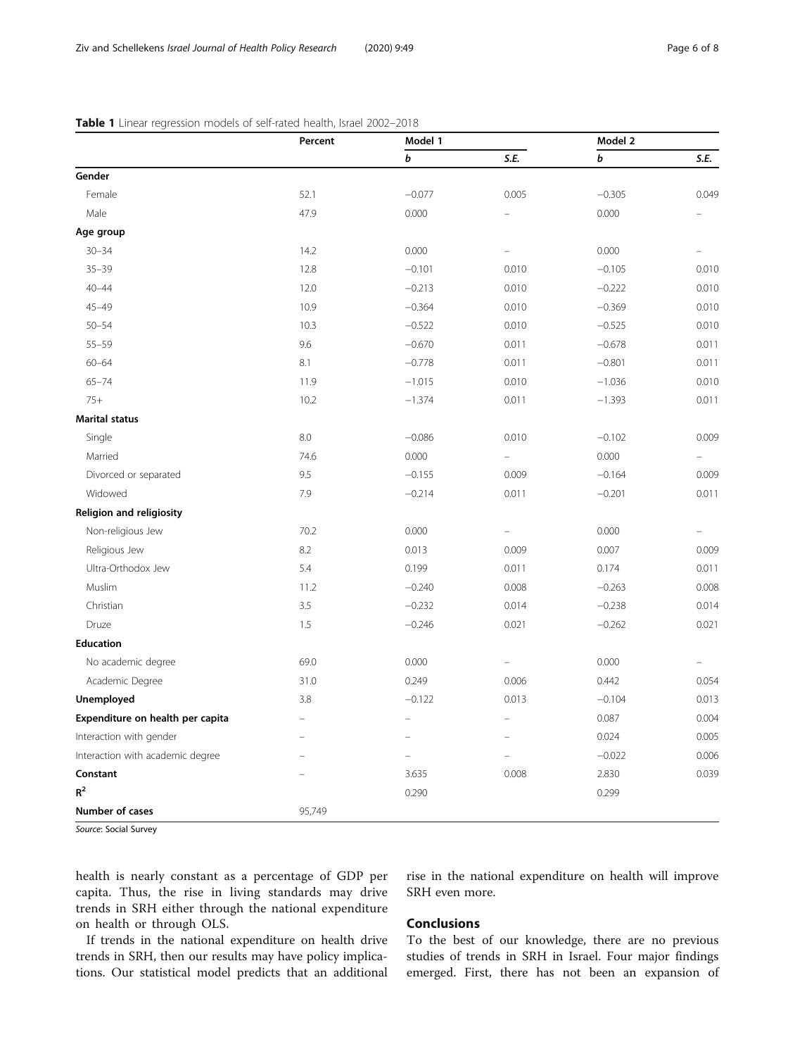|                                  | Percent | Model 1                  |                          | Model 2  |          |
|----------------------------------|---------|--------------------------|--------------------------|----------|----------|
|                                  |         | b                        | S.E.                     | b        | S.E.     |
| Gender                           |         |                          |                          |          |          |
| Female                           | 52.1    | $-0.077$                 | 0.005                    | $-0.305$ | 0.049    |
| Male                             | 47.9    | 0.000                    |                          | 0.000    |          |
| Age group                        |         |                          |                          |          |          |
| $30 - 34$                        | 14.2    | 0.000                    | $\overline{ }$           | 0.000    |          |
| $35 - 39$                        | 12.8    | $-0.101$                 | 0.010                    | $-0.105$ | 0.010    |
| $40 - 44$                        | 12.0    | $-0.213$                 | 0.010                    | $-0.222$ | 0.010    |
| $45 - 49$                        | 10.9    | $-0.364$                 | 0.010                    | $-0.369$ | 0.010    |
| $50 - 54$                        | 10.3    | $-0.522$                 | 0.010                    | $-0.525$ | 0.010    |
| $55 - 59$                        | 9.6     | $-0.670$                 | 0.011                    | $-0.678$ | 0.011    |
| $60 - 64$                        | 8.1     | $-0.778$                 | 0.011                    | $-0.801$ | 0.011    |
| $65 - 74$                        | 11.9    | $-1.015$                 | 0.010                    | $-1.036$ | 0.010    |
| $75+$                            | 10.2    | $-1.374$                 | 0.011                    | $-1.393$ | 0.011    |
| <b>Marital status</b>            |         |                          |                          |          |          |
| Single                           | 8.0     | $-0.086$                 | 0.010                    | $-0.102$ | 0.009    |
| Married                          | 74.6    | 0.000                    | $\equiv$                 | 0.000    |          |
| Divorced or separated            | 9.5     | $-0.155$                 | 0.009                    | $-0.164$ | 0.009    |
| Widowed                          | 7.9     | $-0.214$                 | 0.011                    | $-0.201$ | 0.011    |
| <b>Religion and religiosity</b>  |         |                          |                          |          |          |
| Non-religious Jew                | 70.2    | 0.000                    | $\equiv$                 | 0.000    | $\equiv$ |
| Religious Jew                    | 8.2     | 0.013                    | 0.009                    | 0.007    | 0.009    |
| Ultra-Orthodox Jew               | 5.4     | 0.199                    | 0.011                    | 0.174    | 0.011    |
| Muslim                           | 11.2    | $-0.240$                 | 0.008                    | $-0.263$ | 0.008    |
| Christian                        | 3.5     | $-0.232$                 | 0.014                    | $-0.238$ | 0.014    |
| Druze                            | 1.5     | $-0.246$                 | 0.021                    | $-0.262$ | 0.021    |
| <b>Education</b>                 |         |                          |                          |          |          |
| No academic degree               | 69.0    | 0.000                    | $\qquad \qquad -$        | 0.000    | $\equiv$ |
| Academic Degree                  | 31.0    | 0.249                    | 0.006                    | 0.442    | 0.054    |
| Unemployed                       | 3.8     | $-0.122$                 | 0.013                    | $-0.104$ | 0.013    |
| Expenditure on health per capita |         | $\overline{\phantom{0}}$ | $\overline{\phantom{0}}$ | 0.087    | 0.004    |
| Interaction with gender          |         | $\overline{\phantom{m}}$ |                          | 0.024    | 0.005    |
| Interaction with academic degree |         | $\equiv$                 | $\overline{a}$           | $-0.022$ | 0.006    |
| Constant                         |         | 3.635                    | 0.008                    | 2.830    | 0.039    |
| $\mathsf{R}^2$                   |         | 0.290                    |                          | 0.299    |          |
| Number of cases                  | 95,749  |                          |                          |          |          |

#### <span id="page-5-0"></span>Table 1 Linear regression models of self-rated health, Israel 2002-2018

Source: Social Survey

health is nearly constant as a percentage of GDP per capita. Thus, the rise in living standards may drive trends in SRH either through the national expenditure on health or through OLS.

rise in the national expenditure on health will improve SRH even more.

#### **Conclusions**

If trends in the national expenditure on health drive trends in SRH, then our results may have policy implications. Our statistical model predicts that an additional

To the best of our knowledge, there are no previous studies of trends in SRH in Israel. Four major findings emerged. First, there has not been an expansion of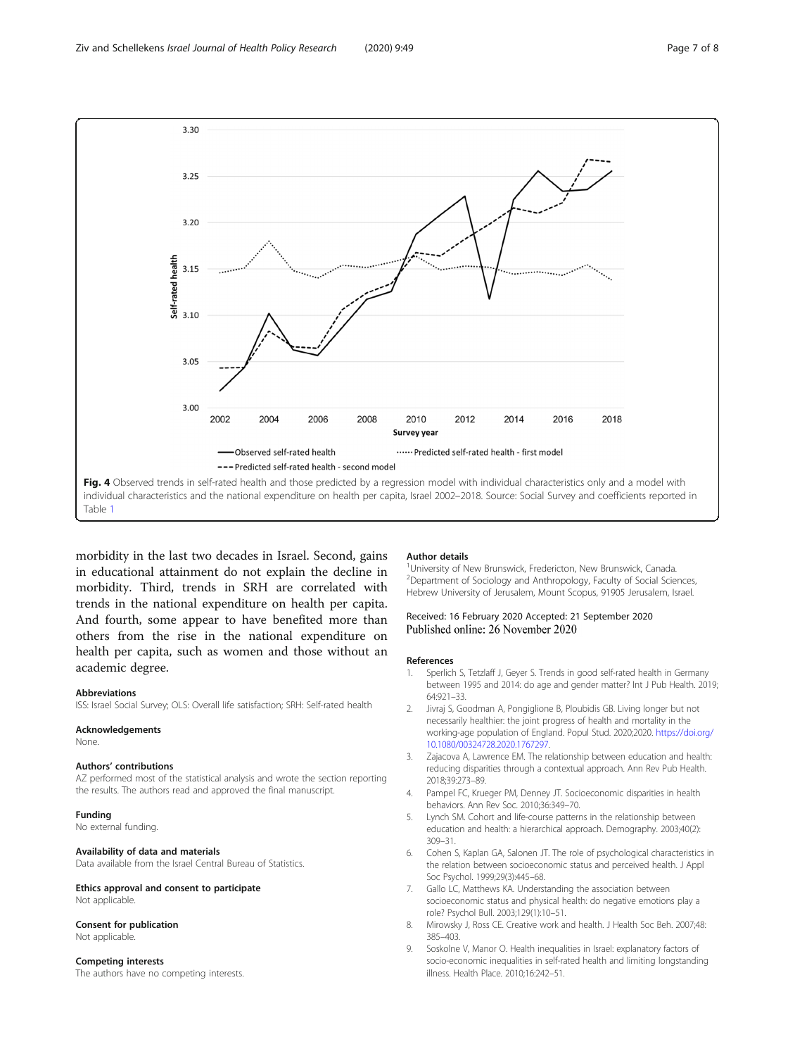<span id="page-6-0"></span>

morbidity in the last two decades in Israel. Second, gains in educational attainment do not explain the decline in morbidity. Third, trends in SRH are correlated with trends in the national expenditure on health per capita. And fourth, some appear to have benefited more than others from the rise in the national expenditure on health per capita, such as women and those without an academic degree.

#### Abbreviations

ISS: Israel Social Survey; OLS: Overall life satisfaction; SRH: Self-rated health

#### Acknowledgements

None.

#### Authors' contributions

AZ performed most of the statistical analysis and wrote the section reporting the results. The authors read and approved the final manuscript.

#### Funding

No external funding.

#### Availability of data and materials

Data available from the Israel Central Bureau of Statistics.

#### Ethics approval and consent to participate Not applicable.

#### Consent for publication Not applicable.

## Competing interests

The authors have no competing interests.

#### Author details

<sup>1</sup>University of New Brunswick, Fredericton, New Brunswick, Canada. <sup>2</sup> Department of Sociology and Anthropology, Faculty of Social Sciences, Hebrew University of Jerusalem, Mount Scopus, 91905 Jerusalem, Israel.

#### Received: 16 February 2020 Accepted: 21 September 2020 Published online: 26 November 2020

#### References

- 1. Sperlich S, Tetzlaff J, Geyer S. Trends in good self-rated health in Germany between 1995 and 2014: do age and gender matter? Int J Pub Health. 2019; 64:921–33.
- 2. Jivraj S, Goodman A, Pongiglione B, Ploubidis GB. Living longer but not necessarily healthier: the joint progress of health and mortality in the working-age population of England. Popul Stud. 2020;2020. [https://doi.org/](https://doi.org/10.1080/00324728.2020.1767297) [10.1080/00324728.2020.1767297](https://doi.org/10.1080/00324728.2020.1767297).
- 3. Zajacova A, Lawrence EM. The relationship between education and health: reducing disparities through a contextual approach. Ann Rev Pub Health. 2018;39:273–89.
- 4. Pampel FC, Krueger PM, Denney JT. Socioeconomic disparities in health behaviors. Ann Rev Soc. 2010;36:349–70.
- 5. Lynch SM. Cohort and life-course patterns in the relationship between education and health: a hierarchical approach. Demography. 2003;40(2): 309–31.
- 6. Cohen S, Kaplan GA, Salonen JT. The role of psychological characteristics in the relation between socioeconomic status and perceived health. J Appl Soc Psychol. 1999;29(3):445–68.
- 7. Gallo LC, Matthews KA. Understanding the association between socioeconomic status and physical health: do negative emotions play a role? Psychol Bull. 2003;129(1):10–51.
- 8. Mirowsky J, Ross CE. Creative work and health. J Health Soc Beh. 2007;48: 385–403.
- 9. Soskolne V, Manor O. Health inequalities in Israel: explanatory factors of socio-economic inequalities in self-rated health and limiting longstanding illness. Health Place. 2010;16:242–51.